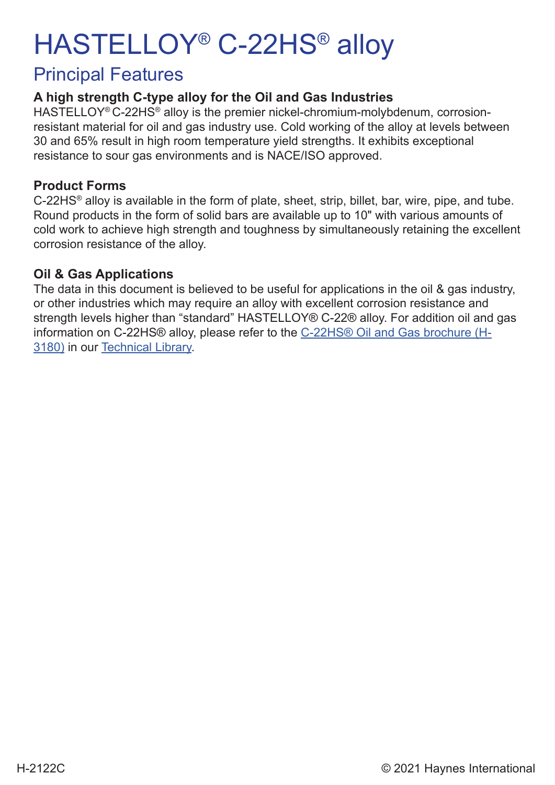# HASTELLOY® C-22HS® alloy

### Principal Features

### **A high strength C-type alloy for the Oil and Gas Industries**

HASTELLOY<sup>®</sup> C-22HS<sup>®</sup> alloy is the premier nickel-chromium-molybdenum, corrosionresistant material for oil and gas industry use. Cold working of the alloy at levels between 30 and 65% result in high room temperature yield strengths. It exhibits exceptional resistance to sour gas environments and is NACE/ISO approved.

### **Product Forms**

C-22HS® alloy is available in the form of plate, sheet, strip, billet, bar, wire, pipe, and tube. Round products in the form of solid bars are available up to 10" with various amounts of cold work to achieve high strength and toughness by simultaneously retaining the excellent corrosion resistance of the alloy.

### **Oil & Gas Applications**

The data in this document is believed to be useful for applications in the oil & gas industry, or other industries which may require an alloy with excellent corrosion resistance and strength levels higher than "standard" HASTELLOY® C-22® alloy. For addition oil and gas information on C-22HS® alloy, please refer to the C-22HS® Oil and Gas brochure (H-3180) in our Technical Library.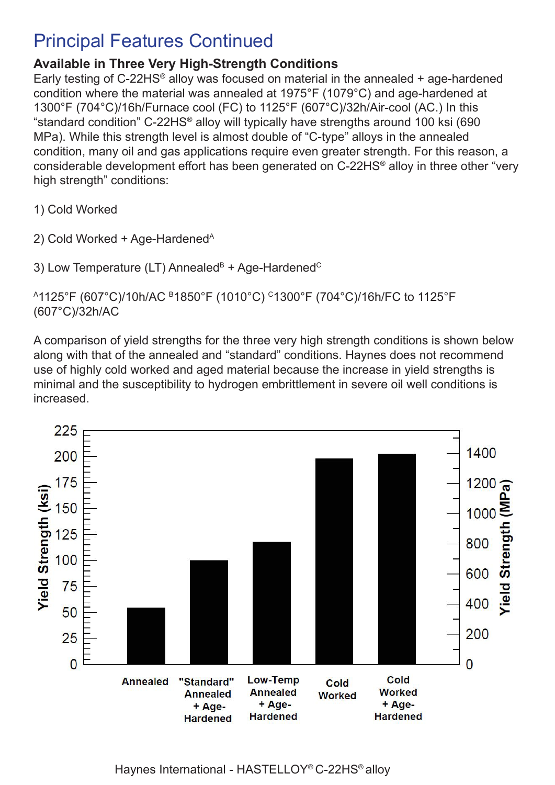## Principal Features Continued

### **Available in Three Very High-Strength Conditions**

Early testing of C-22HS<sup>®</sup> alloy was focused on material in the annealed  $+$  age-hardened condition where the material was annealed at 1975°F (1079°C) and age-hardened at 1300°F (704°C)/16h/Furnace cool (FC) to 1125°F (607°C)/32h/Air-cool (AC.) In this "standard condition" C-22HS® alloy will typically have strengths around 100 ksi (690 MPa). While this strength level is almost double of "C-type" alloys in the annealed condition, many oil and gas applications require even greater strength. For this reason, a considerable development effort has been generated on C-22HS® alloy in three other "very high strength" conditions:

1) Cold Worked

2) Cold Worked  $+$  Age-Hardened<sup>A</sup>

3) Low Temperature (LT) Annealed $B + Age$ -Hardened<sup>C</sup>

A1125°F (607°C)/10h/AC B1850°F (1010°C) C1300°F (704°C)/16h/FC to 1125°F (607°C)/32h/AC

A comparison of yield strengths for the three very high strength conditions is shown below along with that of the annealed and "standard" conditions. Haynes does not recommend use of highly cold worked and aged material because the increase in yield strengths is minimal and the susceptibility to hydrogen embrittlement in severe oil well conditions is increased.

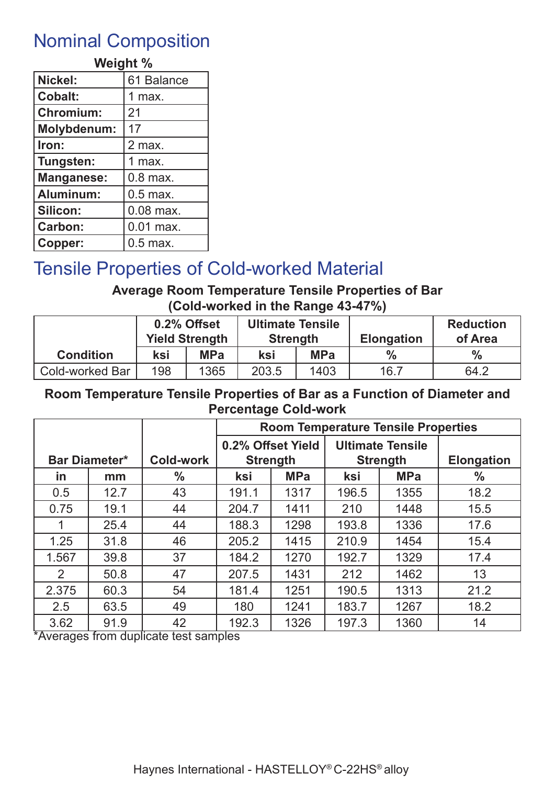### Nominal Composition

| Weight %           |             |  |  |  |  |  |
|--------------------|-------------|--|--|--|--|--|
| Nickel:            | 61 Balance  |  |  |  |  |  |
| Cobalt:            | 1 max.      |  |  |  |  |  |
| <b>Chromium:</b>   | 21          |  |  |  |  |  |
| <b>Molybdenum:</b> | 17          |  |  |  |  |  |
| Iron:              | 2 max.      |  |  |  |  |  |
| Tungsten:          | 1 max.      |  |  |  |  |  |
| <b>Manganese:</b>  | $0.8$ max.  |  |  |  |  |  |
| Aluminum:          | $0.5$ max.  |  |  |  |  |  |
| Silicon:           | $0.08$ max. |  |  |  |  |  |
| <b>Carbon:</b>     | $0.01$ max. |  |  |  |  |  |
| Copper:            | $0.5$ max.  |  |  |  |  |  |

# Tensile Properties of Cold-worked Material

### **Average Room Temperature Tensile Properties of Bar (Cold-worked in the Range 43-47%)**

|                        | 0.2% Offset<br><b>Yield Strength</b> |            | <b>Ultimate Tensile</b><br><b>Strength</b> |            | <b>Elongation</b> | <b>Reduction</b><br>of Area |
|------------------------|--------------------------------------|------------|--------------------------------------------|------------|-------------------|-----------------------------|
| <b>Condition</b>       | ksi                                  | <b>MPa</b> | ksi                                        | <b>MPa</b> | $\%$              | $\frac{0}{0}$               |
| <b>Cold-worked Bar</b> | 198                                  | 1365       | 203.5                                      | 1403       | 16.7              | 64.2                        |

#### **Room Temperature Tensile Properties of Bar as a Function of Diameter and Percentage Cold-work**

|           |                      |                  |       | <b>Room Temperature Tensile Properties</b> |       |                         |                   |
|-----------|----------------------|------------------|-------|--------------------------------------------|-------|-------------------------|-------------------|
|           |                      |                  |       | 0.2% Offset Yield                          |       | <b>Ultimate Tensile</b> |                   |
|           | <b>Bar Diameter*</b> | <b>Cold-work</b> |       | <b>Strength</b>                            |       | <b>Strength</b>         | <b>Elongation</b> |
| <u>in</u> | mm                   | $\frac{0}{0}$    | ksi   | <b>MPa</b>                                 | ksi   | <b>MPa</b>              | $\frac{0}{0}$     |
| 0.5       | 12.7                 | 43               | 191.1 | 1317                                       | 196.5 | 1355                    | 18.2              |
| 0.75      | 19.1                 | 44               | 204.7 | 1411                                       | 210   | 1448                    | 15.5              |
|           | 25.4                 | 44               | 188.3 | 1298                                       | 193.8 | 1336                    | 17.6              |
| 1.25      | 31.8                 | 46               | 205.2 | 1415                                       | 210.9 | 1454                    | 15.4              |
| 1.567     | 39.8                 | 37               | 184.2 | 1270                                       | 192.7 | 1329                    | 17.4              |
| 2         | 50.8                 | 47               | 207.5 | 1431                                       | 212   | 1462                    | 13                |
| 2.375     | 60.3                 | 54               | 181.4 | 1251                                       | 190.5 | 1313                    | 21.2              |
| 2.5       | 63.5                 | 49               | 180   | 1241                                       | 183.7 | 1267                    | 18.2              |
| 3.62      | 91.9                 | 42               | 192.3 | 1326                                       | 197.3 | 1360                    | 14                |

\*Averages from duplicate test samples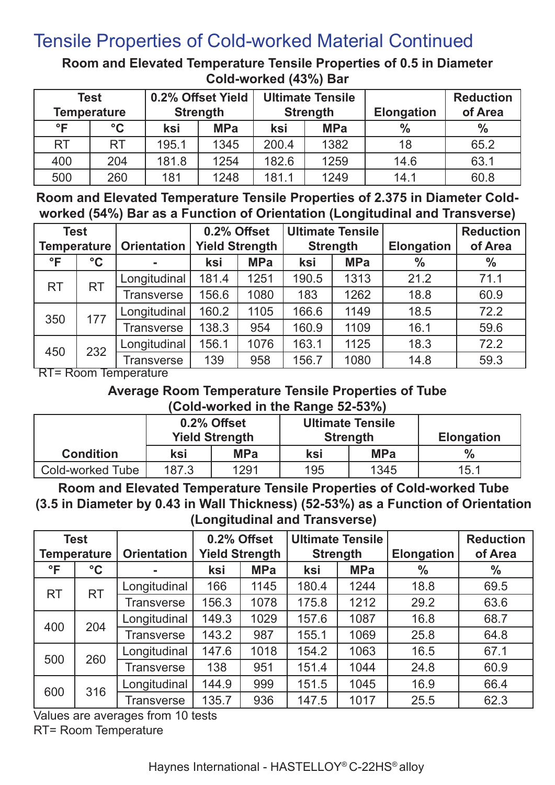# Tensile Properties of Cold-worked Material Continued

**Room and Elevated Temperature Tensile Properties of 0.5 in Diameter Cold-worked (43%) Bar**

| <b>Test</b><br><b>Temperature</b> |                 | 0.2% Offset Yield<br><b>Strength</b> |            | <b>Ultimate Tensile</b><br><b>Strength</b> |            | <b>Elongation</b> | <b>Reduction</b><br>of Area |
|-----------------------------------|-----------------|--------------------------------------|------------|--------------------------------------------|------------|-------------------|-----------------------------|
| $\circ \mathsf{F}$                | $\rm ^{\circ}C$ | ksi                                  | <b>MPa</b> | ksi                                        | <b>MPa</b> | $\frac{9}{6}$     | $\frac{0}{0}$               |
| <b>RT</b>                         | <b>RT</b>       | 195.1                                | 1345       | 200.4                                      | 1382       | 18                | 65.2                        |
| 400                               | 204             | 181.8                                | 1254       | 182.6                                      | 1259       | 14.6              | 63.1                        |
| 500                               | 260             | 181                                  | 1248       | 181.1                                      | 1249       | 14.1              | 60.8                        |

**Room and Elevated Temperature Tensile Properties of 2.375 in Diameter Coldworked (54%) Bar as a Function of Orientation (Longitudinal and Transverse)**

| <b>Test</b>        |                   |                    |       | 0.2% Offset<br><b>Ultimate Tensile</b> |       |                 | <b>Reduction</b>  |         |
|--------------------|-------------------|--------------------|-------|----------------------------------------|-------|-----------------|-------------------|---------|
| <b>Temperature</b> |                   | <b>Orientation</b> |       | <b>Yield Strength</b>                  |       | <b>Strength</b> | <b>Elongation</b> | of Area |
| $\mathsf{P}$       | $\rm ^{\circ}C$   | ٠                  | ksi   | <b>MPa</b>                             | ksi   | <b>MPa</b>      | $\%$              | $\%$    |
| <b>RT</b>          | <b>RT</b>         | Longitudinal       | 181.4 | 1251                                   | 190.5 | 1313            | 21.2              | 71.1    |
|                    |                   | <b>Transverse</b>  | 156.6 | 1080                                   | 183   | 1262            | 18.8              | 60.9    |
|                    |                   | Longitudinal       | 160.2 | 1105                                   | 166.6 | 1149            | 18.5              | 72.2    |
| 350<br>177         |                   | <b>Transverse</b>  | 138.3 | 954                                    | 160.9 | 1109            | 16.1              | 59.6    |
| 232<br>450         | Longitudinal      | 156.1              | 1076  | 163.1                                  | 1125  | 18.3            | 72.2              |         |
|                    | <b>Transverse</b> | 139                | 958   | 156.7                                  | 1080  | 14.8            | 59.3              |         |

RT= Room Temperature

# **Average Room Temperature Tensile Properties of Tube**

**(Cold-worked in the Range 52-53%)**

|                  |       | 0.2% Offset<br><b>Yield Strength</b> | <b>Ultimate Tensile</b> | <b>Strength</b> | <b>Elongation</b> |
|------------------|-------|--------------------------------------|-------------------------|-----------------|-------------------|
| <b>Condition</b> | ksi   | <b>MPa</b>                           | ksi                     | <b>MPa</b>      | $\%$              |
| Cold-worked Tube | 187.3 | 1291                                 | 195                     | 1345            | 15.1              |

**Room and Elevated Temperature Tensile Properties of Cold-worked Tube (3.5 in Diameter by 0.43 in Wall Thickness) (52-53%) as a Function of Orientation (Longitudinal and Transverse)**

|              | <b>Test</b><br><b>Temperature</b> | <b>Orientation</b> | 0.2% Offset<br><b>Yield Strength</b> |            | <b>Ultimate Tensile</b><br><b>Strength</b> |            | <b>Elongation</b> | <b>Reduction</b><br>of Area |
|--------------|-----------------------------------|--------------------|--------------------------------------|------------|--------------------------------------------|------------|-------------------|-----------------------------|
| $\mathsf{P}$ | $\rm ^{\circ}C$                   |                    | ksi                                  | <b>MPa</b> | ksi                                        | <b>MPa</b> | $\%$              | $\%$                        |
| <b>RT</b>    | <b>RT</b>                         | Longitudinal       | 166                                  | 1145       | 180.4                                      | 1244       | 18.8              | 69.5                        |
|              |                                   | Transverse         | 156.3                                | 1078       | 175.8                                      | 1212       | 29.2              | 63.6                        |
| 400          | 204                               | Longitudinal       | 149.3                                | 1029       | 157.6                                      | 1087       | 16.8              | 68.7                        |
|              |                                   | Transverse         | 143.2                                | 987        | 155.1                                      | 1069       | 25.8              | 64.8                        |
| 500          | 260                               | Longitudinal       | 147.6                                | 1018       | 154.2                                      | 1063       | 16.5              | 67.1                        |
|              |                                   | Transverse         | 138                                  | 951        | 151.4                                      | 1044       | 24.8              | 60.9                        |
| 316          | Longitudinal                      | 144.9              | 999                                  | 151.5      | 1045                                       | 16.9       | 66.4              |                             |
| 600          |                                   | Transverse         | 135.7                                | 936        | 147.5                                      | 1017       | 25.5              | 62.3                        |

Values are averages from 10 tests RT= Room Temperature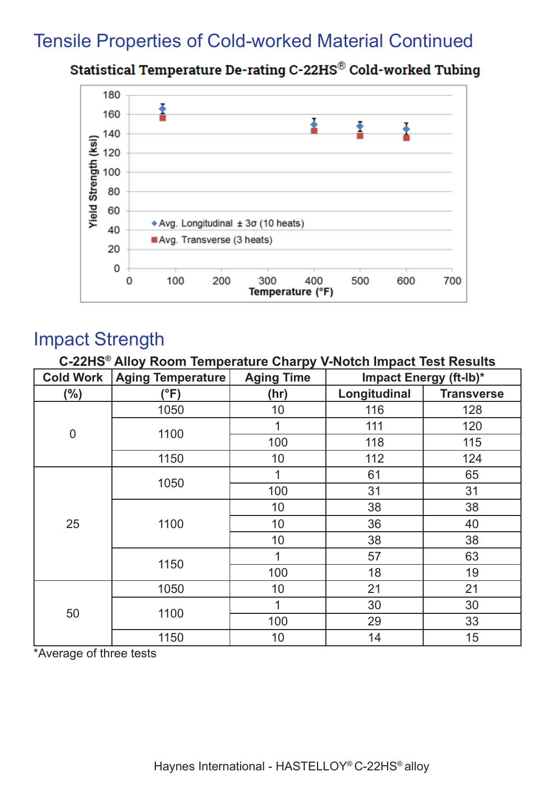### Tensile Properties of Cold-worked Material Continued

Statistical Temperature De-rating C-22HS® Cold-worked Tubing



### Impact Strength

**C-22HS® Alloy Room Temperature Charpy V-Notch Impact Test Results Cold Work Aging Temperature Aging Time Impact Energy (ft-lb)\* (%) (°F) (hr) Longitudinal Transverse** 0 1050 | 10 | 116 | 128 1100  $\begin{array}{|c|c|c|c|c|}\n\hline\n & 1 & 111 & 120 \\
\hline\n & 100 & 110 & 115\n\end{array}$ 100 118 115 1150 10 112 124 25 1050  $\begin{array}{|c|c|c|c|c|}\n\hline\n & 1 & 61 & 65 \\
\hline\n & 490 & 34 & 34\n\end{array}$ 100 31 31 1100 10 38 38 10 36 40 10 38 38 1150  $\begin{array}{|c|c|c|c|c|}\n\hline\n & 1 & 57 & 63 \\
\hline\n & 400 & 49 & 49\n\end{array}$ 100 18 19 50 1050 10 10 21 21 1100  $\begin{array}{|c|c|c|c|c|}\n\hline\n & 1 & 30 & 30 \\
\hline\n & 400 & 30 & 30\n\end{array}$ 100 29 33 1150 | 10 | 14 | 15

\*Average of three tests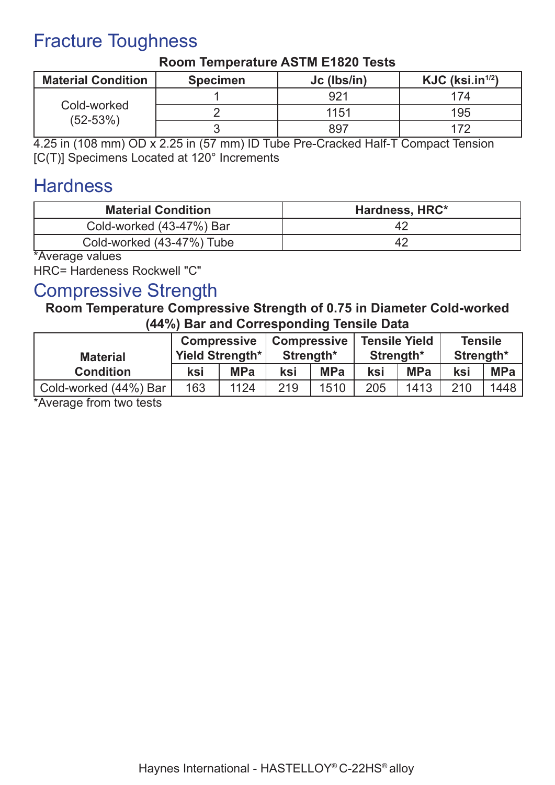# Fracture Toughness

| <b>Material Condition</b>   | <b>Specimen</b> | Jc (lbs/in) | $KJC$ (ksi.in <sup><math>1/2</math></sup> ) |
|-----------------------------|-----------------|-------------|---------------------------------------------|
| Cold-worked<br>$(52 - 53%)$ |                 | 921         | 174                                         |
|                             |                 | 1151        | 195                                         |
|                             |                 | 897         |                                             |

#### **Room Temperature ASTM E1820 Tests**

4.25 in (108 mm) OD x 2.25 in (57 mm) ID Tube Pre-Cracked Half-T Compact Tension [C(T)] Specimens Located at 120° Increments

### **Hardness**

| <b>Material Condition</b> | Hardness, HRC* |
|---------------------------|----------------|
| Cold-worked (43-47%) Bar  | 42             |
| Cold-worked (43-47%) Tube |                |

\*Average values

HRC= Hardeness Rockwell "C"

### Compressive Strength

#### **Room Temperature Compressive Strength of 0.75 in Diameter Cold-worked (44%) Bar and Corresponding Tensile Data**

| <b>Material</b>       | <b>Compressive</b> | Yield Strength* | <b>Compressive</b><br>Strength* |            | <b>Tensile Yield</b><br>Strength* |            | <b>Tensile</b><br>Strength* |            |
|-----------------------|--------------------|-----------------|---------------------------------|------------|-----------------------------------|------------|-----------------------------|------------|
| <b>Condition</b>      | ksi                | <b>MPa</b>      | ksi                             | <b>MPa</b> | ksi                               | <b>MPa</b> | ksi                         | <b>MPa</b> |
| Cold-worked (44%) Bar | 163                | 1124            | 219                             | 1510       | 205                               | 1413       | 210                         | 1448       |

\*Average from two tests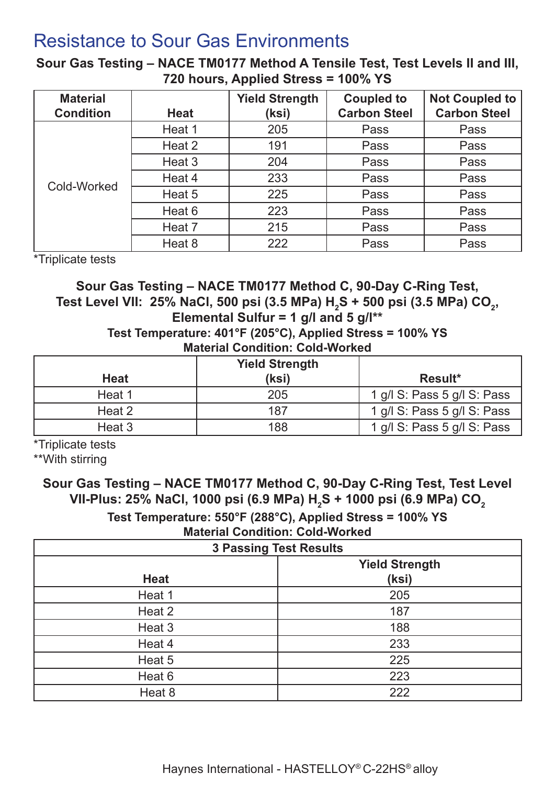### Resistance to Sour Gas Environments

**Sour Gas Testing – NACE TM0177 Method A Tensile Test, Test Levels II and III, 720 hours, Applied Stress = 100% YS**

| <b>Material</b>  |             | <b>Yield Strength</b> | <b>Coupled to</b>   | <b>Not Coupled to</b> |
|------------------|-------------|-----------------------|---------------------|-----------------------|
| <b>Condition</b> | <b>Heat</b> | (ksi)                 | <b>Carbon Steel</b> | <b>Carbon Steel</b>   |
|                  | Heat 1      | 205                   | Pass                | Pass                  |
|                  | Heat 2      | 191                   | Pass                | Pass                  |
|                  | Heat 3      | 204                   | Pass                | Pass                  |
| Cold-Worked      | Heat 4      | 233                   | Pass                | Pass                  |
|                  | Heat 5      | 225                   | Pass                | Pass                  |
|                  | Heat 6      | 223                   | Pass                | Pass                  |
|                  | Heat 7      | 215                   | Pass                | Pass                  |
|                  | Heat 8      | 222                   | Pass                | Pass                  |

\*Triplicate tests

#### **Sour Gas Testing – NACE TM0177 Method C, 90-Day C-Ring Test,** Test Level VII: 25% NaCl, 500 psi (3.5 MPa) H<sub>2</sub>S + 500 psi (3.5 MPa) CO<sub>2</sub>, **Elemental Sulfur = 1 g/l and 5 g/l\*\* Test Temperature: 401°F (205°C), Applied Stress = 100% YS**

**Material Condition: Cold-Worked**

|             | <b>Yield Strength</b> |                             |
|-------------|-----------------------|-----------------------------|
| <b>Heat</b> | (ksi)                 | Result*                     |
| Heat 1      | 205                   | 1 g/l S: Pass 5 g/l S: Pass |
| Heat 2      | 187                   | 1 g/l S: Pass 5 g/l S: Pass |
| Heat 3      | 188                   | 1 g/l S: Pass 5 g/l S: Pass |

\*Triplicate tests

\*\*With stirring

#### **Sour Gas Testing – NACE TM0177 Method C, 90-Day C-Ring Test, Test Level**  VII-Plus: 25% NaCl, 1000 psi (6.9 MPa) H<sub>2</sub>S + 1000 psi (6.9 MPa) CO<sub>2</sub> **Test Temperature: 550°F (288°C), Applied Stress = 100% YS Material Condition: Cold-Worked**

| <b>3 Passing Test Results</b> |                                |  |  |  |  |  |
|-------------------------------|--------------------------------|--|--|--|--|--|
| <b>Heat</b>                   | <b>Yield Strength</b><br>(ksi) |  |  |  |  |  |
| Heat 1                        | 205                            |  |  |  |  |  |
| Heat 2                        | 187                            |  |  |  |  |  |
| Heat 3                        | 188                            |  |  |  |  |  |
| Heat 4                        | 233                            |  |  |  |  |  |
| Heat 5                        | 225                            |  |  |  |  |  |
| Heat 6                        | 223                            |  |  |  |  |  |
| Heat 8                        | 222                            |  |  |  |  |  |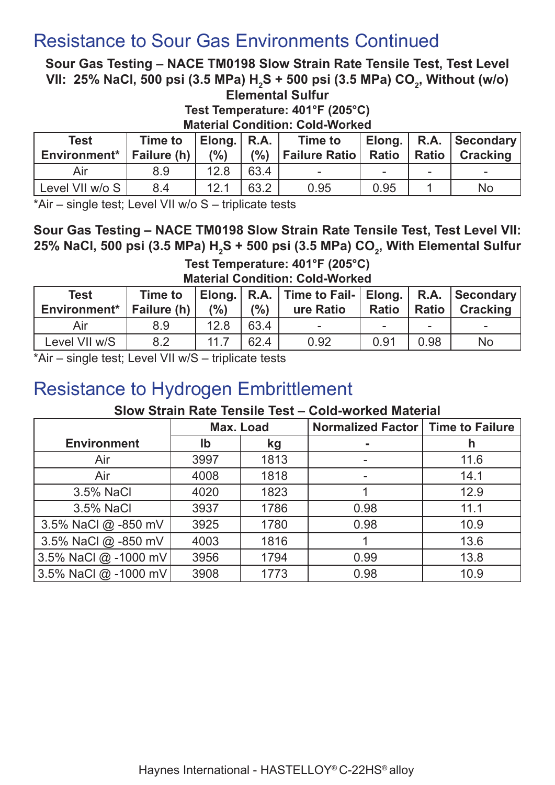### Resistance to Sour Gas Environments Continued

**Sour Gas Testing – NACE TM0198 Slow Strain Rate Tensile Test, Test Level**  VII: 25% NaCl, 500 psi (3.5 MPa) H<sub>2</sub>S + 500 psi (3.5 MPa) CO<sub>2</sub>, Without (w/o) **Elemental Sulfur**

**Test Temperature: 401°F (205°C)**

**Material Condition: Cold-Worked** 

| <b>Test</b><br>Environment <sup>*</sup>   Failure (h) $\vert$ | <b>Time to</b> | Elong.   R.A.  <br>(% ) |      | <b>Time to</b><br>(%) Failure Ratio   Ratio   Ratio   Cracking |      |          | Elong.   R.A.   Secondary |
|---------------------------------------------------------------|----------------|-------------------------|------|----------------------------------------------------------------|------|----------|---------------------------|
| Air                                                           | 8.9            | 12.8                    | 63.4 |                                                                |      | $\equiv$ | $\sim$                    |
| Level VII w/o S                                               | 8.4            | 12.1                    | 63.2 | 0.95                                                           | 0.95 |          | No                        |

\*Air – single test; Level VII w/o S – triplicate tests

**Sour Gas Testing – NACE TM0198 Slow Strain Rate Tensile Test, Test Level VII:**  25% NaCl, 500 psi (3.5 MPa) H<sub>2</sub>S + 500 psi (3.5 MPa) CO<sub>2</sub>, With Elemental Sulfur

**Test Temperature: 401°F (205°C) Material Condition: Cold-Worked**

| <b>Test</b><br>Environment <sup>*</sup>   Failure (h) | <b>Time to</b> | (% ) | (% ) | Elong.   R.A.   Time to Fail-   Elong.   R.A.   Secondary  <br>ure Ratio | <b>Ratio</b> |      | Ratio   Cracking |
|-------------------------------------------------------|----------------|------|------|--------------------------------------------------------------------------|--------------|------|------------------|
| Air                                                   | 8.9            | 12.8 | 63.4 | $\sim$                                                                   |              | $\,$ | $\sim$           |
| Level VII w/S                                         | 8.2            | 11.7 | 62.4 | 0.92                                                                     | 0.91         | 0.98 | <b>No</b>        |

\*Air – single test; Level VII w/S – triplicate tests

### Resistance to Hydrogen Embrittlement

#### **Slow Strain Rate Tensile Test – Cold-worked Material**

|                      | Max. Load |      | Normalized Factor   Time to Failure |      |
|----------------------|-----------|------|-------------------------------------|------|
| <b>Environment</b>   | lb        | kg   |                                     | h    |
| Air                  | 3997      | 1813 |                                     | 11.6 |
| Air                  | 4008      | 1818 |                                     | 14.1 |
| 3.5% NaCl            | 4020      | 1823 |                                     | 12.9 |
| 3.5% NaCl            | 3937      | 1786 | 0.98                                | 11.1 |
| 3.5% NaCl @ -850 mV  | 3925      | 1780 | 0.98                                | 10.9 |
| 3.5% NaCl @ -850 mV  | 4003      | 1816 |                                     | 13.6 |
| 3.5% NaCl @ -1000 mV | 3956      | 1794 | 0.99                                | 13.8 |
| 3.5% NaCl @ -1000 mV | 3908      | 1773 | 0.98                                | 10.9 |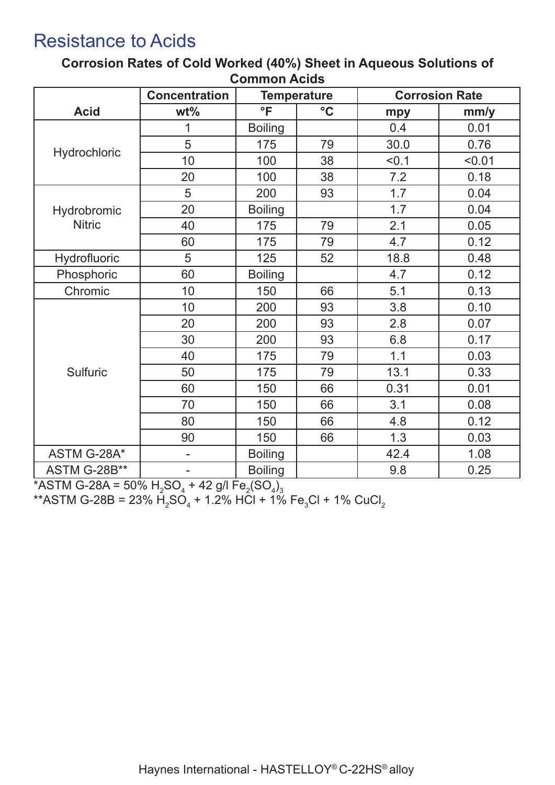### Resistance to Acids

| <b>Concentration</b><br><b>Corrosion Rate</b><br><b>Temperature</b> |                                                                                                                       |                                                                                                                                                                                                                     |                                                                                                                       |                                                                                                                                                                      |  |  |  |
|---------------------------------------------------------------------|-----------------------------------------------------------------------------------------------------------------------|---------------------------------------------------------------------------------------------------------------------------------------------------------------------------------------------------------------------|-----------------------------------------------------------------------------------------------------------------------|----------------------------------------------------------------------------------------------------------------------------------------------------------------------|--|--|--|
|                                                                     |                                                                                                                       |                                                                                                                                                                                                                     |                                                                                                                       | mm/y                                                                                                                                                                 |  |  |  |
| 1                                                                   |                                                                                                                       |                                                                                                                                                                                                                     |                                                                                                                       | 0.01                                                                                                                                                                 |  |  |  |
|                                                                     |                                                                                                                       |                                                                                                                                                                                                                     |                                                                                                                       | 0.76                                                                                                                                                                 |  |  |  |
|                                                                     |                                                                                                                       |                                                                                                                                                                                                                     |                                                                                                                       | < 0.01                                                                                                                                                               |  |  |  |
|                                                                     |                                                                                                                       |                                                                                                                                                                                                                     |                                                                                                                       | 0.18                                                                                                                                                                 |  |  |  |
|                                                                     |                                                                                                                       |                                                                                                                                                                                                                     |                                                                                                                       | 0.04                                                                                                                                                                 |  |  |  |
|                                                                     |                                                                                                                       |                                                                                                                                                                                                                     |                                                                                                                       | 0.04                                                                                                                                                                 |  |  |  |
|                                                                     |                                                                                                                       |                                                                                                                                                                                                                     |                                                                                                                       | 0.05                                                                                                                                                                 |  |  |  |
|                                                                     |                                                                                                                       |                                                                                                                                                                                                                     |                                                                                                                       | 0.12                                                                                                                                                                 |  |  |  |
|                                                                     |                                                                                                                       |                                                                                                                                                                                                                     |                                                                                                                       | 0.48                                                                                                                                                                 |  |  |  |
|                                                                     |                                                                                                                       |                                                                                                                                                                                                                     |                                                                                                                       | 0.12                                                                                                                                                                 |  |  |  |
|                                                                     |                                                                                                                       |                                                                                                                                                                                                                     |                                                                                                                       | 0.13                                                                                                                                                                 |  |  |  |
|                                                                     |                                                                                                                       |                                                                                                                                                                                                                     |                                                                                                                       | 0.10                                                                                                                                                                 |  |  |  |
|                                                                     |                                                                                                                       |                                                                                                                                                                                                                     |                                                                                                                       | 0.07                                                                                                                                                                 |  |  |  |
|                                                                     |                                                                                                                       |                                                                                                                                                                                                                     |                                                                                                                       | 0.17                                                                                                                                                                 |  |  |  |
|                                                                     |                                                                                                                       |                                                                                                                                                                                                                     |                                                                                                                       | 0.03                                                                                                                                                                 |  |  |  |
|                                                                     |                                                                                                                       |                                                                                                                                                                                                                     |                                                                                                                       | 0.33                                                                                                                                                                 |  |  |  |
|                                                                     |                                                                                                                       |                                                                                                                                                                                                                     |                                                                                                                       | 0.01                                                                                                                                                                 |  |  |  |
|                                                                     |                                                                                                                       |                                                                                                                                                                                                                     |                                                                                                                       | 0.08                                                                                                                                                                 |  |  |  |
|                                                                     |                                                                                                                       |                                                                                                                                                                                                                     |                                                                                                                       | 0.12                                                                                                                                                                 |  |  |  |
|                                                                     |                                                                                                                       |                                                                                                                                                                                                                     |                                                                                                                       | 0.03                                                                                                                                                                 |  |  |  |
|                                                                     |                                                                                                                       |                                                                                                                                                                                                                     |                                                                                                                       | 1.08                                                                                                                                                                 |  |  |  |
|                                                                     |                                                                                                                       |                                                                                                                                                                                                                     |                                                                                                                       | 0.25                                                                                                                                                                 |  |  |  |
|                                                                     | $wt\%$<br>5<br>10<br>20<br>5<br>20<br>40<br>60<br>5<br>60<br>10<br>10<br>20<br>30<br>40<br>50<br>60<br>70<br>80<br>90 | °F<br><b>Boiling</b><br>175<br>100<br>100<br>200<br><b>Boiling</b><br>175<br>175<br>125<br><b>Boiling</b><br>150<br>200<br>200<br>200<br>175<br>175<br>150<br>150<br>150<br>150<br><b>Boiling</b><br><b>Boiling</b> | $\rm ^{\circ}C$<br>79<br>38<br>38<br>93<br>79<br>79<br>52<br>66<br>93<br>93<br>93<br>79<br>79<br>66<br>66<br>66<br>66 | mpy<br>0.4<br>30.0<br>< 0.1<br>7.2<br>1.7<br>1.7<br>2.1<br>4.7<br>18.8<br>4.7<br>5.1<br>3.8<br>2.8<br>6.8<br>1.1<br>13.1<br>0.31<br>3.1<br>4.8<br>1.3<br>42.4<br>9.8 |  |  |  |

**Corrosion Rates of Cold Worked (40%) Sheet in Aqueous Solutions of Common Acids**

\*ASTM G-28A = 50%  $\rm H_2SO_4$  + 42 g/l Fe $_2$ (SO $_4)_3$ 

\*\*ASTM G-28B = 23%  $\rm H_2SO_4$  + 1.2% HCl + 1% Fe $_{3}$ Cl + 1% CuCl $_{2}$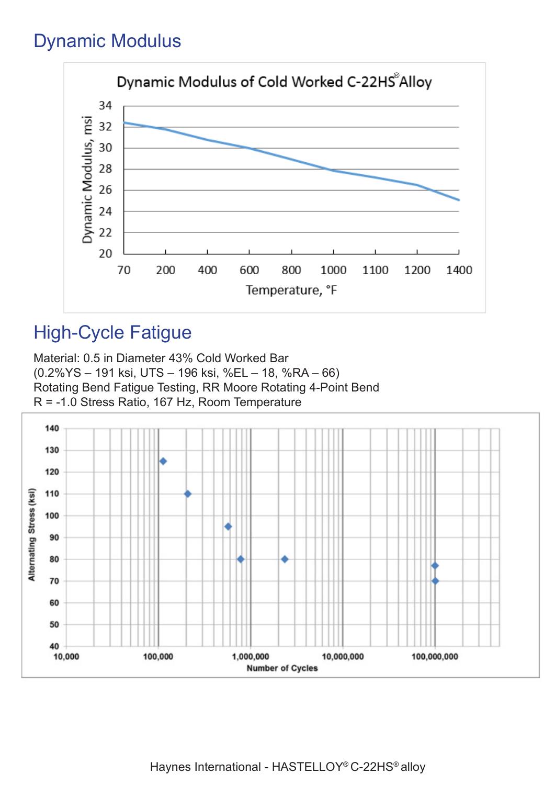## Dynamic Modulus



# High-Cycle Fatigue

Material: 0.5 in Diameter 43% Cold Worked Bar (0.2%YS – 191 ksi, UTS – 196 ksi, %EL – 18, %RA – 66) Rotating Bend Fatigue Testing, RR Moore Rotating 4-Point Bend R = -1.0 Stress Ratio, 167 Hz, Room Temperature



Haynes International - HASTELLOY® C-22HS® alloy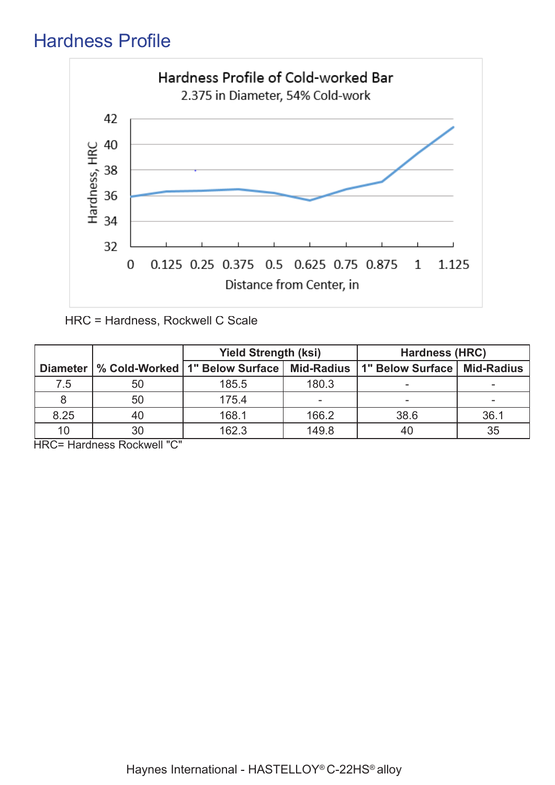# Hardness Profile



HRC = Hardness, Rockwell C Scale

|                 |    | <b>Yield Strength (ksi)</b>                           |       | <b>Hardness (HRC)</b> |                   |
|-----------------|----|-------------------------------------------------------|-------|-----------------------|-------------------|
| <b>Diameter</b> |    | <b>Mid-Radius</b><br>% Cold-Worked   1" Below Surface |       | 1" Below Surface      | <b>Mid-Radius</b> |
| 7.5             | 50 | 185.5                                                 | 180.3 |                       |                   |
|                 | 50 | 175.4                                                 |       | -                     |                   |
| 8.25            | 40 | 168.1                                                 | 166.2 | 38.6                  | 36.1              |
| 10              | 30 | 162.3                                                 | 149.8 | 40                    | 35                |

HRC= Hardness Rockwell "C"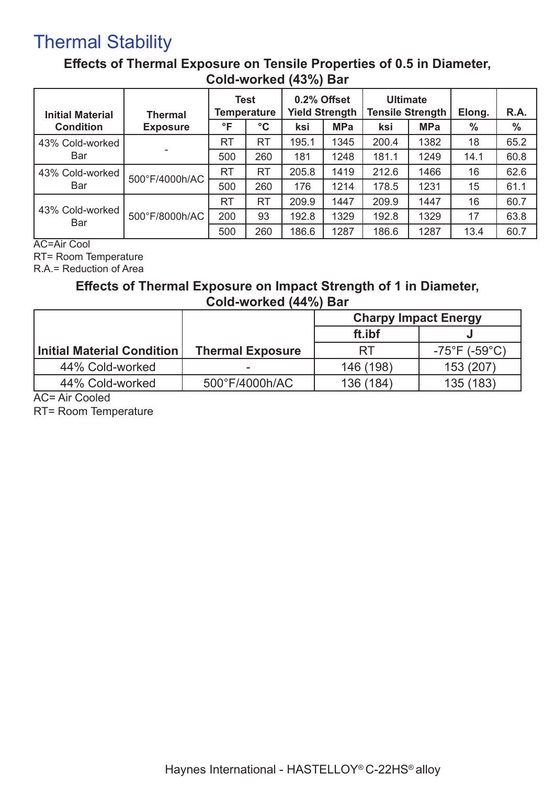### Thermal Stability

### **Effects of Thermal Exposure on Tensile Properties of 0.5 in Diameter, Cold-worked (43%) Bar**

| <b>Initial Material</b> | <b>Thermal</b>  |           | <b>Test</b><br><b>Temperature</b> | 0.2% Offset<br><b>Yield Strength</b> |            | <b>Ultimate</b><br><b>Tensile Strength</b> |            | Elong. | R.A.          |
|-------------------------|-----------------|-----------|-----------------------------------|--------------------------------------|------------|--------------------------------------------|------------|--------|---------------|
| <b>Condition</b>        | <b>Exposure</b> | °F        | $\rm ^{\circ}C$                   | ksi                                  | <b>MPa</b> | ksi                                        | <b>MPa</b> | %      | $\frac{0}{0}$ |
| 43% Cold-worked         |                 | <b>RT</b> | <b>RT</b>                         | 195.1                                | 1345       | 200.4                                      | 1382       | 18     | 65.2          |
| Bar                     |                 | 500       | 260                               | 181                                  | 1248       | 181.1                                      | 1249       | 14.1   | 60.8          |
| 43% Cold-worked         | 500°F/4000h/AC  | <b>RT</b> | <b>RT</b>                         | 205.8                                | 1419       | 212.6                                      | 1466       | 16     | 62.6          |
| Bar                     |                 | 500       | 260                               | 176                                  | 1214       | 178.5                                      | 1231       | 15     | 61.1          |
|                         |                 | <b>RT</b> | <b>RT</b>                         | 209.9                                | 1447       | 209.9                                      | 1447       | 16     | 60.7          |
| 43% Cold-worked<br>Bar  | 500°F/8000h/AC  | 200       | 93                                | 192.8                                | 1329       | 192.8                                      | 1329       | 17     | 63.8          |
|                         |                 | 500       | 260                               | 186.6                                | 1287       | 186.6                                      | 1287       | 13.4   | 60.7          |

AC=Air Cool

RT= Room Temperature

R.A.= Reduction of Area

#### **Effects of Thermal Exposure on Impact Strength of 1 in Diameter, Cold-worked (44%) Bar**

|                            |                         | <b>Charpy Impact Energy</b> |                                    |  |
|----------------------------|-------------------------|-----------------------------|------------------------------------|--|
|                            |                         | ft.ibf                      |                                    |  |
| Initial Material Condition | <b>Thermal Exposure</b> | RT                          | $-75^{\circ}$ F (-59 $^{\circ}$ C) |  |
| 44% Cold-worked            |                         | 146 (198)                   | 153 (207)                          |  |
| 44% Cold-worked            | 500°F/4000h/AC          | 136 (184)                   | 135 (183)                          |  |

AC= Air Cooled

RT= Room Temperature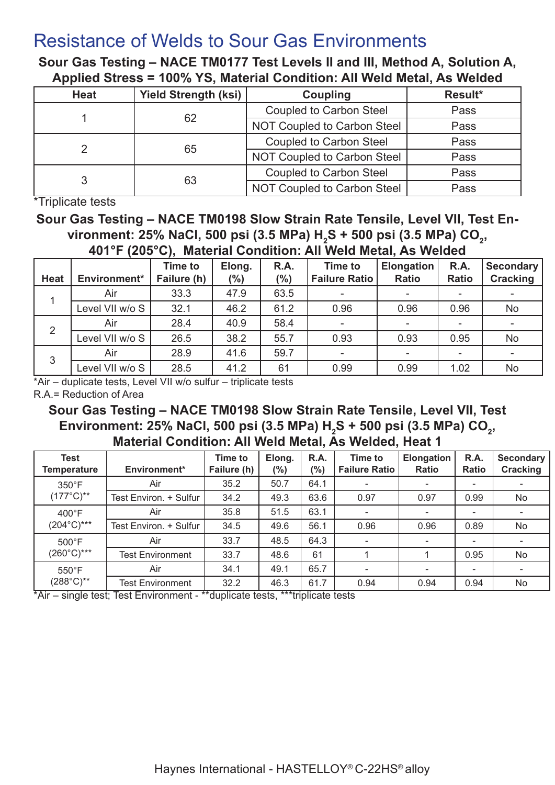### Resistance of Welds to Sour Gas Environments

**Sour Gas Testing – NACE TM0177 Test Levels II and III, Method A, Solution A, Applied Stress = 100% YS, Material Condition: All Weld Metal, As Welded**

| <b>Heat</b> | <b>Yield Strength (ksi)</b> | <b>Coupling</b>                | Result* |
|-------------|-----------------------------|--------------------------------|---------|
|             | 62                          | <b>Coupled to Carbon Steel</b> | Pass    |
|             |                             | NOT Coupled to Carbon Steel    | Pass    |
|             |                             | <b>Coupled to Carbon Steel</b> | Pass    |
|             | 65                          | NOT Coupled to Carbon Steel    | Pass    |
|             |                             | <b>Coupled to Carbon Steel</b> | Pass    |
|             | 63                          | NOT Coupled to Carbon Steel    | Pass    |

\*Triplicate tests

**Sour Gas Testing – NACE TM0198 Slow Strain Rate Tensile, Level VII, Test En**vironment: 25% NaCl, 500 psi (3.5 MPa) H<sub>2</sub>S + 500 psi (3.5 MPa) CO<sub>2</sub>, **401°F (205°C), Material Condition: All Weld Metal, As Welded**

| <b>Heat</b> | Environment*    | <b>Time to</b><br>Failure (h) | Elong.<br>$(\%)$ | R.A.<br>(%) | <b>Time to</b><br><b>Failure Ratio</b> | <b>Elongation</b><br><b>Ratio</b> | R.A.<br><b>Ratio</b>     | Secondary<br>Cracking |
|-------------|-----------------|-------------------------------|------------------|-------------|----------------------------------------|-----------------------------------|--------------------------|-----------------------|
|             | Air             | 33.3                          | 47.9             | 63.5        |                                        |                                   |                          |                       |
|             | Level VII w/o S | 32.1                          | 46.2             | 61.2        | 0.96                                   | 0.96                              | 0.96                     | No                    |
| 2           | Air             | 28.4                          | 40.9             | 58.4        |                                        |                                   | $\overline{\phantom{a}}$ |                       |
|             | Level VII w/o S | 26.5                          | 38.2             | 55.7        | 0.93                                   | 0.93                              | 0.95                     | No                    |
| 3           | Air             | 28.9                          | 41.6             | 59.7        |                                        |                                   | ۰                        |                       |
|             | Level VII w/o S | 28.5                          | 41.2             | 61          | 0.99                                   | 0.99                              | 1.02                     | No                    |

\*Air – duplicate tests, Level VII w/o sulfur – triplicate tests

R.A.= Reduction of Area

**Sour Gas Testing – NACE TM0198 Slow Strain Rate Tensile, Level VII, Test**  Environment: 25% NaCl, 500 psi (3.5 MPa) H<sub>2</sub>S + 500 psi (3.5 MPa) CO<sub>2</sub>, **Material Condition: All Weld Metal, As Welded, Heat 1**

| <b>Test</b><br><b>Temperature</b> | Environment*            | <b>Time to</b><br>Failure (h) | Elong.<br>$(\%)$ | R.A.<br>(%) | <b>Time to</b><br><b>Failure Ratio</b> | Elongation<br>Ratio | R.A.<br>Ratio            | Secondary<br><b>Cracking</b> |
|-----------------------------------|-------------------------|-------------------------------|------------------|-------------|----------------------------------------|---------------------|--------------------------|------------------------------|
| $350^{\circ}$ F                   | Air                     | 35.2                          | 50.7             | 64.1        |                                        |                     |                          |                              |
| $(177^{\circ}C)^{**}$             | Test Environ. + Sulfur  | 34.2                          | 49.3             | 63.6        | 0.97                                   | 0.97                | 0.99                     | No                           |
| $400^{\circ}$ F                   | Air                     | 35.8                          | 51.5             | 63.1        | ٠                                      |                     |                          |                              |
| $(204^{\circ}C)^{***}$            | Test Environ. + Sulfur  | 34.5                          | 49.6             | 56.1        | 0.96                                   | 0.96                | 0.89                     | No                           |
| $500^{\circ}$ F                   | Air                     | 33.7                          | 48.5             | 64.3        |                                        |                     | $\overline{\phantom{a}}$ |                              |
| $(260^{\circ}C)^{***}$            | <b>Test Environment</b> | 33.7                          | 48.6             | 61          |                                        |                     | 0.95                     | No                           |
| $550^{\circ}$ F                   | Air                     | 34.1                          | 49.1             | 65.7        | $\overline{\phantom{a}}$               | -                   | ۰                        | ٠                            |
| $(288^{\circ}C)^{**}$             | <b>Test Environment</b> | 32.2                          | 46.3             | 61.7        | 0.94                                   | 0.94                | 0.94                     | No                           |

\*Air – single test; Test Environment - \*\*duplicate tests, \*\*\*triplicate tests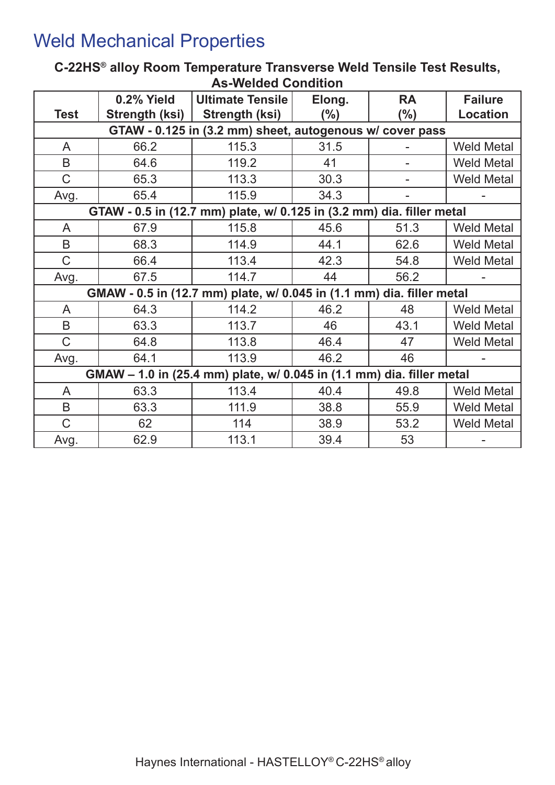# Weld Mechanical Properties

### **C-22HS® alloy Room Temperature Transverse Weld Tensile Test Results, As-Welded Condition**

|              | 0.2% Yield                                               | <b>Ultimate Tensile</b>                                               | Elong.  | <b>RA</b> | <b>Failure</b>    |  |  |  |  |  |
|--------------|----------------------------------------------------------|-----------------------------------------------------------------------|---------|-----------|-------------------|--|--|--|--|--|
| <b>Test</b>  | Strength (ksi)                                           | Strength (ksi)                                                        | $(\% )$ | $(\% )$   | <b>Location</b>   |  |  |  |  |  |
|              | GTAW - 0.125 in (3.2 mm) sheet, autogenous w/ cover pass |                                                                       |         |           |                   |  |  |  |  |  |
| A            | 66.2                                                     | 115.3                                                                 | 31.5    |           | <b>Weld Metal</b> |  |  |  |  |  |
| B            | 64.6                                                     | 119.2                                                                 | 41      |           | <b>Weld Metal</b> |  |  |  |  |  |
| $\mathsf{C}$ | 65.3                                                     | 113.3                                                                 | 30.3    |           | <b>Weld Metal</b> |  |  |  |  |  |
| Avg.         | 65.4                                                     | 115.9                                                                 | 34.3    |           |                   |  |  |  |  |  |
|              |                                                          | GTAW - 0.5 in (12.7 mm) plate, w/ 0.125 in (3.2 mm) dia. filler metal |         |           |                   |  |  |  |  |  |
| A            | 67.9                                                     | 115.8                                                                 | 45.6    | 51.3      | <b>Weld Metal</b> |  |  |  |  |  |
| B            | 68.3                                                     | 114.9                                                                 | 44.1    | 62.6      | <b>Weld Metal</b> |  |  |  |  |  |
| $\mathsf{C}$ | 66.4                                                     | 113.4                                                                 | 42.3    | 54.8      | <b>Weld Metal</b> |  |  |  |  |  |
| Avg.         | 67.5                                                     | 114.7                                                                 | 44      | 56.2      |                   |  |  |  |  |  |
|              |                                                          | GMAW - 0.5 in (12.7 mm) plate, w/ 0.045 in (1.1 mm) dia. filler metal |         |           |                   |  |  |  |  |  |
| A            | 64.3                                                     | 114.2                                                                 | 46.2    | 48        | <b>Weld Metal</b> |  |  |  |  |  |
| B            | 63.3                                                     | 113.7                                                                 | 46      | 43.1      | <b>Weld Metal</b> |  |  |  |  |  |
| $\mathsf C$  | 64.8                                                     | 113.8                                                                 | 46.4    | 47        | <b>Weld Metal</b> |  |  |  |  |  |
| Avg.         | 64.1                                                     | 113.9                                                                 | 46.2    | 46        |                   |  |  |  |  |  |
|              |                                                          | GMAW - 1.0 in (25.4 mm) plate, w/ 0.045 in (1.1 mm) dia. filler metal |         |           |                   |  |  |  |  |  |
| A            | 63.3                                                     | 113.4                                                                 | 40.4    | 49.8      | <b>Weld Metal</b> |  |  |  |  |  |
| B            | 63.3                                                     | 111.9                                                                 | 38.8    | 55.9      | <b>Weld Metal</b> |  |  |  |  |  |
| $\mathsf C$  | 62                                                       | 114                                                                   | 38.9    | 53.2      | <b>Weld Metal</b> |  |  |  |  |  |
| Avg.         | 62.9                                                     | 113.1                                                                 | 39.4    | 53        |                   |  |  |  |  |  |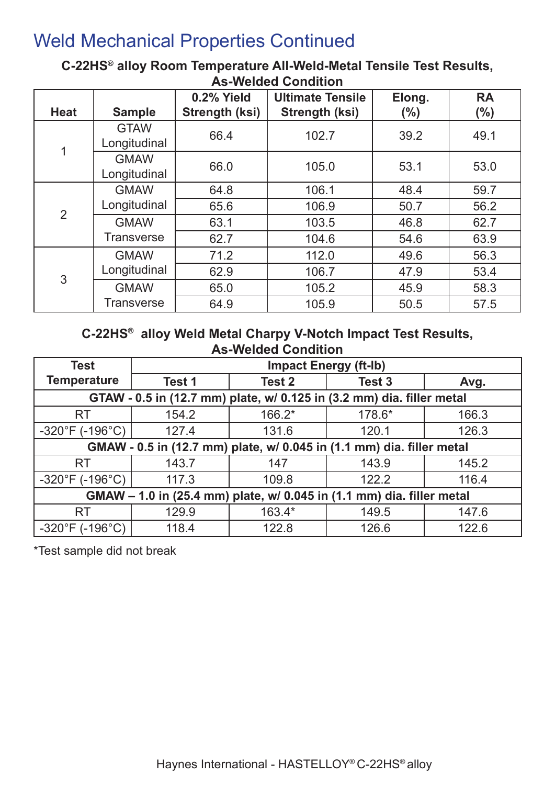# Weld Mechanical Properties Continued

### **C-22HS® alloy Room Temperature All-Weld-Metal Tensile Test Results, As-Welded Condition**

|                |                             | 0.2% Yield            | <b>Ultimate Tensile</b> | Elong. | <b>RA</b> |
|----------------|-----------------------------|-----------------------|-------------------------|--------|-----------|
| <b>Heat</b>    | <b>Sample</b>               | <b>Strength (ksi)</b> | <b>Strength (ksi)</b>   | (%)    | $(\% )$   |
| 1              | <b>GTAW</b><br>Longitudinal | 66.4                  | 102.7                   | 39.2   | 49.1      |
|                | <b>GMAW</b><br>Longitudinal | 66.0                  | 105.0                   | 53.1   | 53.0      |
| $\overline{2}$ | <b>GMAW</b>                 | 64.8                  | 106.1                   | 48.4   | 59.7      |
|                | Longitudinal                | 65.6                  | 106.9                   | 50.7   | 56.2      |
|                | <b>GMAW</b>                 | 63.1                  | 103.5                   | 46.8   | 62.7      |
|                | Transverse                  | 62.7                  | 104.6                   | 54.6   | 63.9      |
| 3              | <b>GMAW</b>                 | 71.2                  | 112.0                   | 49.6   | 56.3      |
|                | Longitudinal                | 62.9                  | 106.7                   | 47.9   | 53.4      |
|                | <b>GMAW</b>                 | 65.0                  | 105.2                   | 45.9   | 58.3      |
|                | Transverse                  | 64.9                  | 105.9                   | 50.5   | 57.5      |

### **C-22HS® alloy Weld Metal Charpy V-Notch Impact Test Results, As-Welded Condition**

| <b>Test</b>                                                           | <b>Impact Energy (ft-Ib)</b> |          |        |       |  |  |  |  |
|-----------------------------------------------------------------------|------------------------------|----------|--------|-------|--|--|--|--|
| <b>Temperature</b>                                                    | Test 1                       | Test 2   | Test 3 | Avg.  |  |  |  |  |
| GTAW - 0.5 in (12.7 mm) plate, w/ 0.125 in (3.2 mm) dia. filler metal |                              |          |        |       |  |  |  |  |
| <b>RT</b>                                                             | 154.2                        | $166.2*$ | 178.6* | 166.3 |  |  |  |  |
| $-320^{\circ}F( -196^{\circ}C)$                                       | 127.4                        | 131.6    | 120.1  | 126.3 |  |  |  |  |
| GMAW - 0.5 in (12.7 mm) plate, w/ 0.045 in (1.1 mm) dia. filler metal |                              |          |        |       |  |  |  |  |
| <b>RT</b>                                                             | 143.7                        | 147      | 143.9  | 145.2 |  |  |  |  |
| $-320^{\circ}F( -196^{\circ}C)$                                       | 117.3                        | 109.8    | 122.2  | 116.4 |  |  |  |  |
| GMAW – 1.0 in (25.4 mm) plate, w/ 0.045 in (1.1 mm) dia. filler metal |                              |          |        |       |  |  |  |  |
| <b>RT</b>                                                             | 129.9                        | $163.4*$ | 149.5  | 147.6 |  |  |  |  |
| $-320^{\circ}F( -196^{\circ}C)$                                       | 118.4                        | 122.8    | 126.6  | 122.6 |  |  |  |  |

\*Test sample did not break